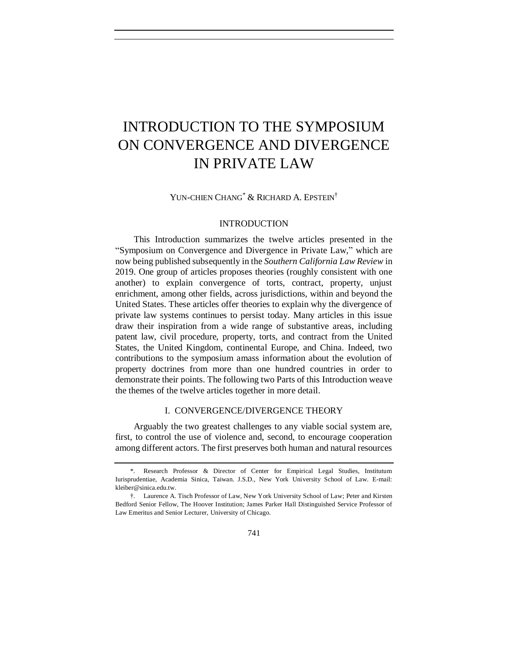# INTRODUCTION TO THE SYMPOSIUM ON CONVERGENCE AND DIVERGENCE IN PRIVATE LAW

YUN-CHIEN CHANG<sup>\*</sup> & RICHARD A. EPSTEIN<sup>†</sup>

## INTRODUCTION

This Introduction summarizes the twelve articles presented in the "Symposium on Convergence and Divergence in Private Law," which are now being published subsequently in the *Southern California Law Review* in 2019. One group of articles proposes theories (roughly consistent with one another) to explain convergence of torts, contract, property, unjust enrichment, among other fields, across jurisdictions, within and beyond the United States. These articles offer theories to explain why the divergence of private law systems continues to persist today. Many articles in this issue draw their inspiration from a wide range of substantive areas, including patent law, civil procedure, property, torts, and contract from the United States, the United Kingdom, continental Europe, and China. Indeed, two contributions to the symposium amass information about the evolution of property doctrines from more than one hundred countries in order to demonstrate their points. The following two Parts of this Introduction weave the themes of the twelve articles together in more detail.

## I. CONVERGENCE/DIVERGENCE THEORY

Arguably the two greatest challenges to any viable social system are, first, to control the use of violence and, second, to encourage cooperation among different actors. The first preserves both human and natural resources

<sup>\*.</sup> Research Professor & Director of Center for Empirical Legal Studies, Institutum Iurisprudentiae, Academia Sinica, Taiwan. J.S.D., New York University School of Law. E-mail: [kleiber@sinica.edu.tw.](mailto:kleiber@sinica.edu.tw)

<sup>†.</sup> Laurence A. Tisch Professor of Law, New York University School of Law; Peter and Kirsten Bedford Senior Fellow, The Hoover Institution; James Parker Hall Distinguished Service Professor of Law Emeritus and Senior Lecturer, University of Chicago.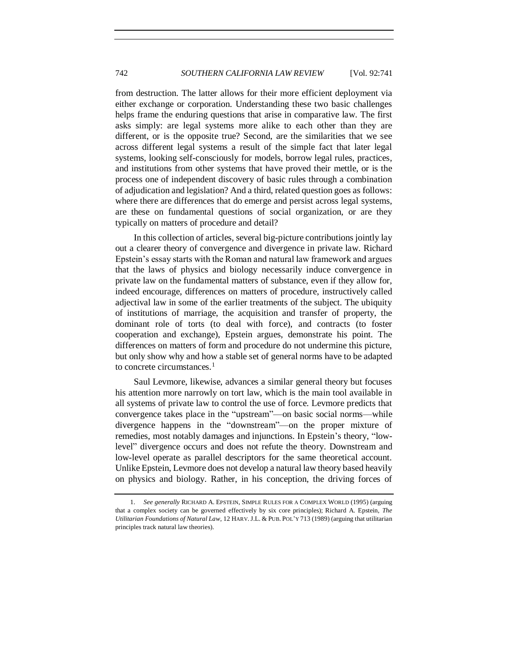from destruction. The latter allows for their more efficient deployment via either exchange or corporation. Understanding these two basic challenges helps frame the enduring questions that arise in comparative law. The first asks simply: are legal systems more alike to each other than they are different, or is the opposite true? Second, are the similarities that we see across different legal systems a result of the simple fact that later legal systems, looking self-consciously for models, borrow legal rules, practices, and institutions from other systems that have proved their mettle, or is the process one of independent discovery of basic rules through a combination of adjudication and legislation? And a third, related question goes as follows: where there are differences that do emerge and persist across legal systems, are these on fundamental questions of social organization, or are they typically on matters of procedure and detail?

In this collection of articles, several big-picture contributions jointly lay out a clearer theory of convergence and divergence in private law. Richard Epstein's essay starts with the Roman and natural law framework and argues that the laws of physics and biology necessarily induce convergence in private law on the fundamental matters of substance, even if they allow for, indeed encourage, differences on matters of procedure, instructively called adjectival law in some of the earlier treatments of the subject. The ubiquity of institutions of marriage, the acquisition and transfer of property, the dominant role of torts (to deal with force), and contracts (to foster cooperation and exchange), Epstein argues, demonstrate his point. The differences on matters of form and procedure do not undermine this picture, but only show why and how a stable set of general norms have to be adapted to concrete circumstances.<sup>1</sup>

Saul Levmore, likewise, advances a similar general theory but focuses his attention more narrowly on tort law, which is the main tool available in all systems of private law to control the use of force. Levmore predicts that convergence takes place in the "upstream"—on basic social norms—while divergence happens in the "downstream"—on the proper mixture of remedies, most notably damages and injunctions. In Epstein's theory, "lowlevel" divergence occurs and does not refute the theory. Downstream and low-level operate as parallel descriptors for the same theoretical account. Unlike Epstein, Levmore does not develop a natural law theory based heavily on physics and biology. Rather, in his conception, the driving forces of

<sup>1.</sup> *See generally* RICHARD A. EPSTEIN, SIMPLE RULES FOR A COMPLEX WORLD (1995) (arguing that a complex society can be governed effectively by six core principles); Richard A. Epstein, *The Utilitarian Foundations of Natural Law*, 12 HARV.J.L. & PUB. POL'Y 713 (1989) (arguing that utilitarian principles track natural law theories).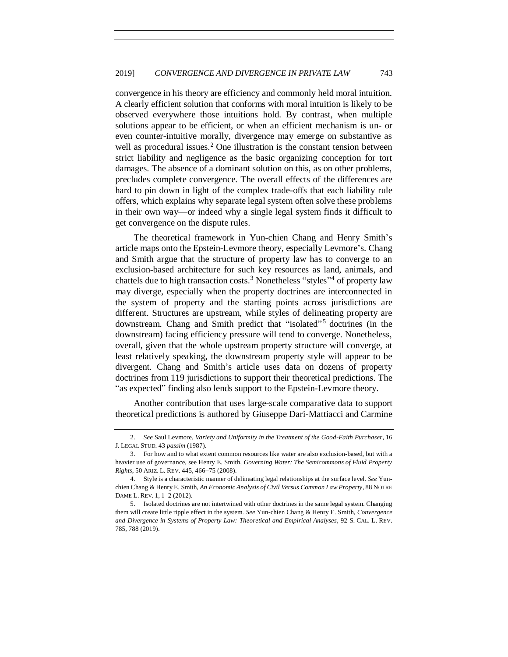convergence in his theory are efficiency and commonly held moral intuition. A clearly efficient solution that conforms with moral intuition is likely to be observed everywhere those intuitions hold. By contrast, when multiple solutions appear to be efficient, or when an efficient mechanism is un- or even counter-intuitive morally, divergence may emerge on substantive as well as procedural issues.<sup>2</sup> One illustration is the constant tension between strict liability and negligence as the basic organizing conception for tort damages. The absence of a dominant solution on this, as on other problems, precludes complete convergence. The overall effects of the differences are hard to pin down in light of the complex trade-offs that each liability rule offers, which explains why separate legal system often solve these problems in their own way—or indeed why a single legal system finds it difficult to get convergence on the dispute rules.

The theoretical framework in Yun-chien Chang and Henry Smith's article maps onto the Epstein-Levmore theory, especially Levmore's. Chang and Smith argue that the structure of property law has to converge to an exclusion-based architecture for such key resources as land, animals, and chattels due to high transaction costs.<sup>3</sup> Nonetheless "styles"<sup>4</sup> of property law may diverge, especially when the property doctrines are interconnected in the system of property and the starting points across jurisdictions are different. Structures are upstream, while styles of delineating property are downstream. Chang and Smith predict that "isolated" <sup>5</sup> doctrines (in the downstream) facing efficiency pressure will tend to converge. Nonetheless, overall, given that the whole upstream property structure will converge, at least relatively speaking, the downstream property style will appear to be divergent. Chang and Smith's article uses data on dozens of property doctrines from 119 jurisdictions to support their theoretical predictions. The "as expected" finding also lends support to the Epstein-Levmore theory.

Another contribution that uses large-scale comparative data to support theoretical predictions is authored by Giuseppe Dari-Mattiacci and Carmine

<sup>2.</sup> *See* Saul Levmore, *Variety and Uniformity in the Treatment of the Good-Faith Purchaser*, 16 J. LEGAL STUD. 43 *passim* (1987).

<sup>3.</sup> For how and to what extent common resources like water are also exclusion-based, but with a heavier use of governance, see Henry E. Smith, *Governing Water: The Semicommons of Fluid Property Rights*, 50 ARIZ. L. REV. 445, 466−75 (2008).

<sup>4.</sup> Style is a characteristic manner of delineating legal relationships at the surface level. *See* Yunchien Chang & Henry E. Smith, *An Economic Analysis of Civil Versus Common Law Property*, 88 NOTRE DAME L. REV. 1, 1–2 (2012).

<sup>5.</sup> Isolated doctrines are not intertwined with other doctrines in the same legal system. Changing them will create little ripple effect in the system. *See* Yun-chien Chang & Henry E. Smith, *Convergence and Divergence in Systems of Property Law: Theoretical and Empirical Analyses*, 92 S. CAL. L. REV. 785, 788 (2019).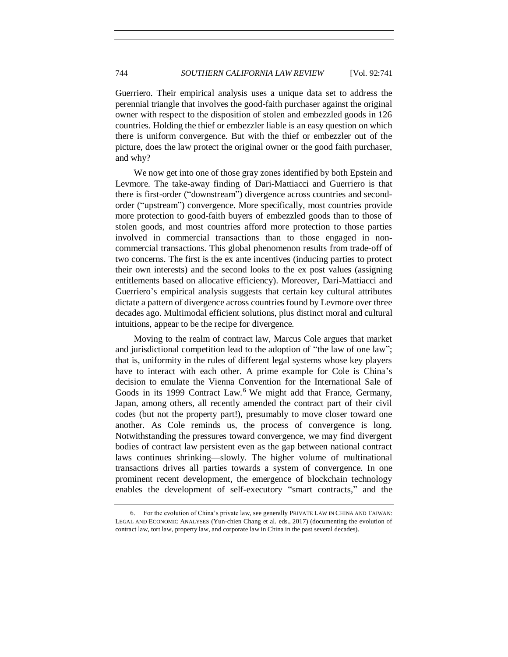Guerriero. Their empirical analysis uses a unique data set to address the perennial triangle that involves the good-faith purchaser against the original owner with respect to the disposition of stolen and embezzled goods in 126 countries. Holding the thief or embezzler liable is an easy question on which there is uniform convergence. But with the thief or embezzler out of the picture, does the law protect the original owner or the good faith purchaser, and why?

We now get into one of those gray zones identified by both Epstein and Levmore. The take-away finding of Dari-Mattiacci and Guerriero is that there is first-order ("downstream") divergence across countries and secondorder ("upstream") convergence. More specifically, most countries provide more protection to good-faith buyers of embezzled goods than to those of stolen goods, and most countries afford more protection to those parties involved in commercial transactions than to those engaged in noncommercial transactions. This global phenomenon results from trade-off of two concerns. The first is the ex ante incentives (inducing parties to protect their own interests) and the second looks to the ex post values (assigning entitlements based on allocative efficiency). Moreover, Dari-Mattiacci and Guerriero's empirical analysis suggests that certain key cultural attributes dictate a pattern of divergence across countries found by Levmore over three decades ago. Multimodal efficient solutions, plus distinct moral and cultural intuitions, appear to be the recipe for divergence.

Moving to the realm of contract law, Marcus Cole argues that market and jurisdictional competition lead to the adoption of "the law of one law"; that is, uniformity in the rules of different legal systems whose key players have to interact with each other. A prime example for Cole is China's decision to emulate the Vienna Convention for the International Sale of Goods in its 1999 Contract Law.<sup>6</sup> We might add that France, Germany, Japan, among others, all recently amended the contract part of their civil codes (but not the property part!), presumably to move closer toward one another. As Cole reminds us, the process of convergence is long. Notwithstanding the pressures toward convergence, we may find divergent bodies of contract law persistent even as the gap between national contract laws continues shrinking—slowly. The higher volume of multinational transactions drives all parties towards a system of convergence. In one prominent recent development, the emergence of blockchain technology enables the development of self-executory "smart contracts," and the

<sup>6.</sup> For the evolution of China's private law, see generally PRIVATE LAW IN CHINA AND TAIWAN: LEGAL AND ECONOMIC ANALYSES (Yun-chien Chang et al. eds., 2017) (documenting the evolution of contract law, tort law, property law, and corporate law in China in the past several decades).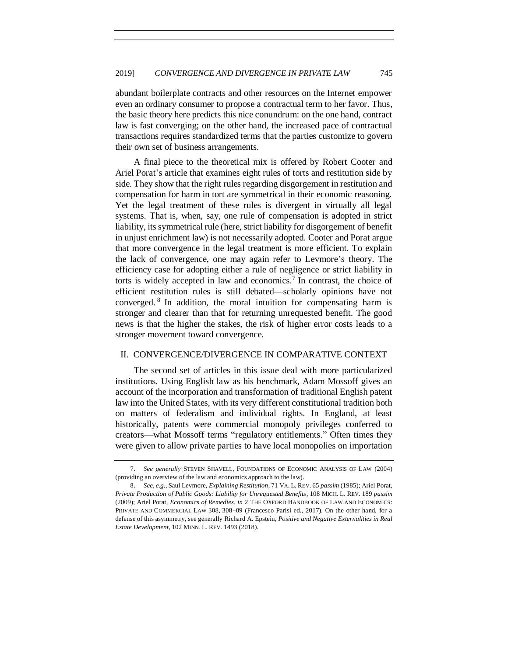abundant boilerplate contracts and other resources on the Internet empower even an ordinary consumer to propose a contractual term to her favor. Thus, the basic theory here predicts this nice conundrum: on the one hand, contract law is fast converging; on the other hand, the increased pace of contractual transactions requires standardized terms that the parties customize to govern their own set of business arrangements.

A final piece to the theoretical mix is offered by Robert Cooter and Ariel Porat's article that examines eight rules of torts and restitution side by side. They show that the right rules regarding disgorgement in restitution and compensation for harm in tort are symmetrical in their economic reasoning. Yet the legal treatment of these rules is divergent in virtually all legal systems. That is, when, say, one rule of compensation is adopted in strict liability, its symmetrical rule (here, strict liability for disgorgement of benefit in unjust enrichment law) is not necessarily adopted. Cooter and Porat argue that more convergence in the legal treatment is more efficient. To explain the lack of convergence, one may again refer to Levmore's theory. The efficiency case for adopting either a rule of negligence or strict liability in torts is widely accepted in law and economics.<sup>7</sup> In contrast, the choice of efficient restitution rules is still debated—scholarly opinions have not converged. <sup>8</sup> In addition, the moral intuition for compensating harm is stronger and clearer than that for returning unrequested benefit. The good news is that the higher the stakes, the risk of higher error costs leads to a stronger movement toward convergence.

#### II. CONVERGENCE/DIVERGENCE IN COMPARATIVE CONTEXT

The second set of articles in this issue deal with more particularized institutions. Using English law as his benchmark, Adam Mossoff gives an account of the incorporation and transformation of traditional English patent law into the United States, with its very different constitutional tradition both on matters of federalism and individual rights. In England, at least historically, patents were commercial monopoly privileges conferred to creators—what Mossoff terms "regulatory entitlements." Often times they were given to allow private parties to have local monopolies on importation

<sup>7.</sup> *See generally* STEVEN SHAVELL, FOUNDATIONS OF ECONOMIC ANALYSIS OF LAW (2004) (providing an overview of the law and economics approach to the law).

<sup>8.</sup> *See, e.g.*, Saul Levmore, *Explaining Restitution*, 71 VA. L. REV. 65 *passim* (1985); Ariel Porat, *Private Production of Public Goods: Liability for Unrequested Benefits*, 108 MICH. L. REV. 189 *passim*  (2009); Ariel Porat, *Economics of Remedies*, *in* 2 THE OXFORD HANDBOOK OF LAW AND ECONOMICS: PRIVATE AND COMMERCIAL LAW 308, 308−09 (Francesco Parisi ed., 2017). On the other hand, for a defense of this asymmetry, see generally Richard A. Epstein, *Positive and Negative Externalities in Real Estate Development*, 102 MINN. L. REV. 1493 (2018).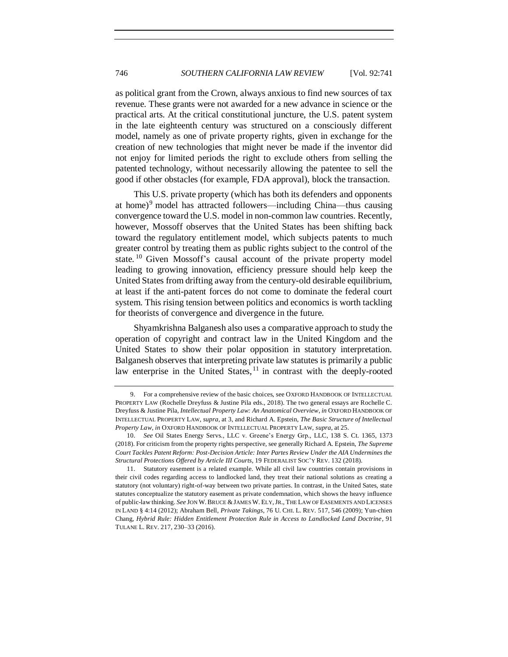as political grant from the Crown, always anxious to find new sources of tax revenue. These grants were not awarded for a new advance in science or the practical arts. At the critical constitutional juncture, the U.S. patent system in the late eighteenth century was structured on a consciously different model, namely as one of private property rights, given in exchange for the creation of new technologies that might never be made if the inventor did not enjoy for limited periods the right to exclude others from selling the patented technology, without necessarily allowing the patentee to sell the good if other obstacles (for example, FDA approval), block the transaction.

This U.S. private property (which has both its defenders and opponents at home)<sup>9</sup> model has attracted followers—including China—thus causing convergence toward the U.S. model in non-common law countries. Recently, however, Mossoff observes that the United States has been shifting back toward the regulatory entitlement model, which subjects patents to much greater control by treating them as public rights subject to the control of the state.<sup>10</sup> Given Mossoff's causal account of the private property model leading to growing innovation, efficiency pressure should help keep the United States from drifting away from the century-old desirable equilibrium, at least if the anti-patent forces do not come to dominate the federal court system. This rising tension between politics and economics is worth tackling for theorists of convergence and divergence in the future.

Shyamkrishna Balganesh also uses a comparative approach to study the operation of copyright and contract law in the United Kingdom and the United States to show their polar opposition in statutory interpretation. Balganesh observes that interpreting private law statutes is primarily a public law enterprise in the United States,  $11$  in contrast with the deeply-rooted

<sup>9.</sup> For a comprehensive review of the basic choices, see OXFORD HANDBOOK OF INTELLECTUAL PROPERTY LAW (Rochelle Dreyfuss & Justine Pila eds., 2018). The two general essays are Rochelle C. Dreyfuss & Justine Pila, *Intellectual Property Law: An Anatomical Overview*, *in* OXFORD HANDBOOK OF INTELLECTUAL PROPERTY LAW, *supra*, at 3, and Richard A. Epstein, *The Basic Structure of Intellectual Property Law*, *in* OXFORD HANDBOOK OF INTELLECTUAL PROPERTY LAW, *supra*, at 25.

<sup>10.</sup> *See* Oil States Energy Servs., LLC v. Greene's Energy Grp., LLC, 138 S. Ct. 1365, 1373 (2018). For criticism from the property rights perspective, see generally Richard A. Epstein, *The Supreme Court Tackles Patent Reform: Post-Decision Article: Inter Partes Review Under the AIA Undermines the Structural Protections Offered by Article III Courts*, 19 FEDERALIST SOC'Y REV. 132 (2018).

<sup>11.</sup> Statutory easement is a related example. While all civil law countries contain provisions in their civil codes regarding access to landlocked land, they treat their national solutions as creating a statutory (not voluntary) right-of-way between two private parties. In contrast, in the United Sates, state statutes conceptualize the statutory easement as private condemnation, which shows the heavy influence of public-law thinking. *See* JON W.BRUCE &JAMES W. ELY,JR., THE LAW OF EASEMENTS AND LICENSES IN LAND § 4:14 (2012); Abraham Bell, *Private Takings*, 76 U. CHI. L. REV. 517, 546 (2009); Yun-chien Chang, *Hybrid Rule: Hidden Entitlement Protection Rule in Access to Landlocked Land Doctrine*, 91 TULANE L. REV. 217, 230–33 (2016).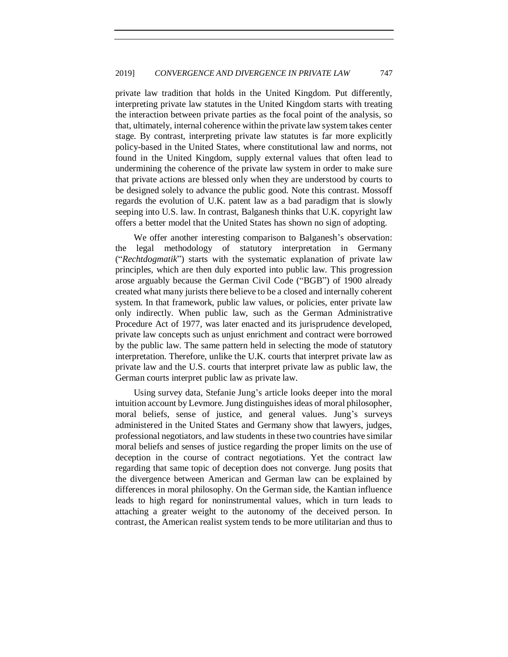private law tradition that holds in the United Kingdom. Put differently, interpreting private law statutes in the United Kingdom starts with treating the interaction between private parties as the focal point of the analysis, so that, ultimately, internal coherence within the private law system takes center stage. By contrast, interpreting private law statutes is far more explicitly policy-based in the United States, where constitutional law and norms, not found in the United Kingdom, supply external values that often lead to undermining the coherence of the private law system in order to make sure that private actions are blessed only when they are understood by courts to be designed solely to advance the public good. Note this contrast. Mossoff regards the evolution of U.K. patent law as a bad paradigm that is slowly seeping into U.S. law. In contrast, Balganesh thinks that U.K. copyright law offers a better model that the United States has shown no sign of adopting.

We offer another interesting comparison to Balganesh's observation: the legal methodology of statutory interpretation in Germany ("*Rechtdogmatik*") starts with the systematic explanation of private law principles, which are then duly exported into public law. This progression arose arguably because the German Civil Code ("BGB") of 1900 already created what many jurists there believe to be a closed and internally coherent system. In that framework, public law values, or policies, enter private law only indirectly. When public law, such as the German Administrative Procedure Act of 1977, was later enacted and its jurisprudence developed, private law concepts such as unjust enrichment and contract were borrowed by the public law. The same pattern held in selecting the mode of statutory interpretation. Therefore, unlike the U.K. courts that interpret private law as private law and the U.S. courts that interpret private law as public law, the German courts interpret public law as private law.

Using survey data, Stefanie Jung's article looks deeper into the moral intuition account by Levmore. Jung distinguishes ideas of moral philosopher, moral beliefs, sense of justice, and general values. Jung's surveys administered in the United States and Germany show that lawyers, judges, professional negotiators, and law students in these two countries have similar moral beliefs and senses of justice regarding the proper limits on the use of deception in the course of contract negotiations. Yet the contract law regarding that same topic of deception does not converge. Jung posits that the divergence between American and German law can be explained by differences in moral philosophy. On the German side, the Kantian influence leads to high regard for noninstrumental values, which in turn leads to attaching a greater weight to the autonomy of the deceived person. In contrast, the American realist system tends to be more utilitarian and thus to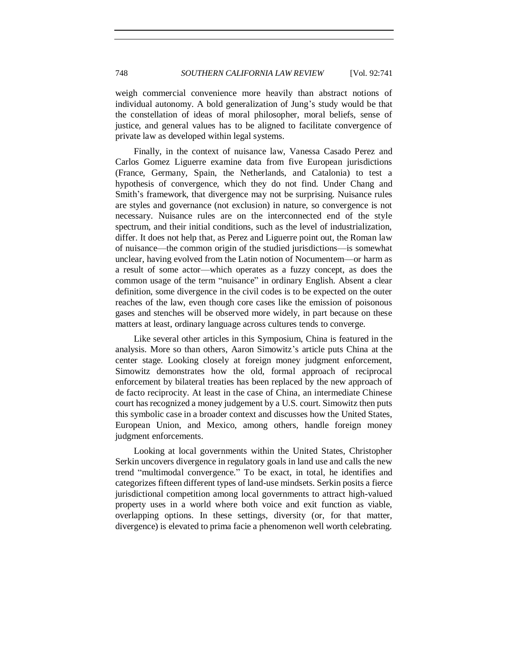weigh commercial convenience more heavily than abstract notions of individual autonomy. A bold generalization of Jung's study would be that the constellation of ideas of moral philosopher, moral beliefs, sense of justice, and general values has to be aligned to facilitate convergence of private law as developed within legal systems.

Finally, in the context of nuisance law, Vanessa Casado Perez and Carlos Gomez Liguerre examine data from five European jurisdictions (France, Germany, Spain, the Netherlands, and Catalonia) to test a hypothesis of convergence, which they do not find. Under Chang and Smith's framework, that divergence may not be surprising. Nuisance rules are styles and governance (not exclusion) in nature, so convergence is not necessary. Nuisance rules are on the interconnected end of the style spectrum, and their initial conditions, such as the level of industrialization, differ. It does not help that, as Perez and Liguerre point out, the Roman law of nuisance—the common origin of the studied jurisdictions—is somewhat unclear, having evolved from the Latin notion of Nocumentem—or harm as a result of some actor—which operates as a fuzzy concept, as does the common usage of the term "nuisance" in ordinary English. Absent a clear definition, some divergence in the civil codes is to be expected on the outer reaches of the law, even though core cases like the emission of poisonous gases and stenches will be observed more widely, in part because on these matters at least, ordinary language across cultures tends to converge.

Like several other articles in this Symposium, China is featured in the analysis. More so than others, Aaron Simowitz's article puts China at the center stage. Looking closely at foreign money judgment enforcement, Simowitz demonstrates how the old, formal approach of reciprocal enforcement by bilateral treaties has been replaced by the new approach of de facto reciprocity. At least in the case of China, an intermediate Chinese court has recognized a money judgement by a U.S. court. Simowitz then puts this symbolic case in a broader context and discusses how the United States, European Union, and Mexico, among others, handle foreign money judgment enforcements.

Looking at local governments within the United States, Christopher Serkin uncovers divergence in regulatory goals in land use and calls the new trend "multimodal convergence." To be exact, in total, he identifies and categorizes fifteen different types of land-use mindsets. Serkin posits a fierce jurisdictional competition among local governments to attract high-valued property uses in a world where both voice and exit function as viable, overlapping options. In these settings, diversity (or, for that matter, divergence) is elevated to prima facie a phenomenon well worth celebrating.